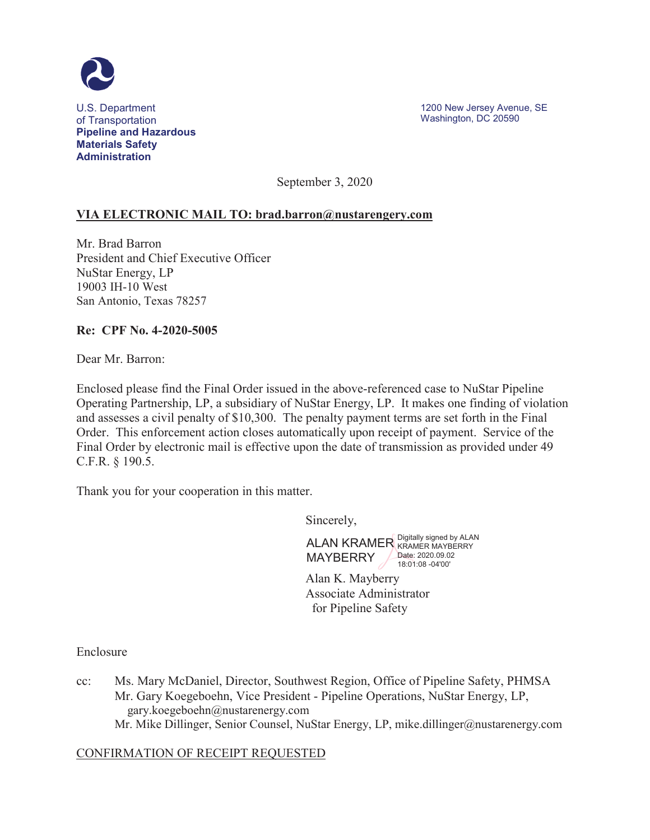

U.S. Department of Transportation **Pipeline and Hazardous Materials Safety Administration**

1200 New Jersey Avenue, SE Washington, DC 20590

September 3, 2020

## **VIA ELECTRONIC MAIL TO: brad.barron@nustarengery.com**

Mr. Brad Barron President and Chief Executive Officer NuStar Energy, LP 19003 IH-10 West San Antonio, Texas 78257

#### **Re: CPF No. 4-2020-5005**

Dear Mr. Barron:

Enclosed please find the Final Order issued in the above-referenced case to NuStar Pipeline Operating Partnership, LP, a subsidiary of NuStar Energy, LP. It makes one finding of violation and assesses a civil penalty of \$10,300. The penalty payment terms are set forth in the Final Order. This enforcement action closes automatically upon receipt of payment. Service of the Final Order by electronic mail is effective upon the date of transmission as provided under 49 C.F.R. § 190.5.

Thank you for your cooperation in this matter.

Sincerely,

ALAN KRAMER Bigitally signed by ALAN **MAYBERRY** KRAMER MAYBERRY Date: 2020.09.02 18:01:08 -04'00'

Alan K. Mayberry Associate Administrator for Pipeline Safety

Enclosure

cc: Ms. Mary McDaniel, Director, Southwest Region, Office of Pipeline Safety, PHMSA Mr. Gary Koegeboehn, Vice President - Pipeline Operations, NuStar Energy, LP, gary.koegeboehn@nustarenergy.com Mr. Mike Dillinger, Senior Counsel, NuStar Energy, LP, mike.dillinger@nustarenergy.com

#### CONFIRMATION OF RECEIPT REQUESTED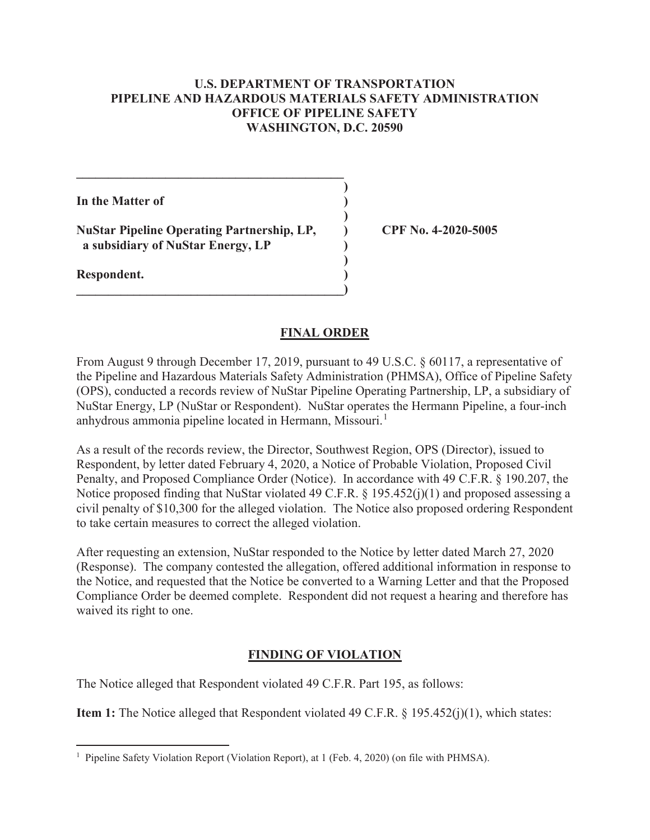### **U.S. DEPARTMENT OF TRANSPORTATION PIPELINE AND HAZARDOUS MATERIALS SAFETY ADMINISTRATION OFFICE OF PIPELINE SAFETY WASHINGTON, D.C. 20590**

**In the Matter of )** 

**NuStar Pipeline Operating Partnership, LP, ) CPF No. 4-2020-5005 a subsidiary of NuStar Energy, LP )** 

 $\mathcal{L} = \{ \mathcal{L} \}$  **)** 

 **)** 

 **)** 

**\_\_\_\_\_\_\_\_\_\_\_\_\_\_\_\_\_\_\_\_\_\_\_\_\_\_\_\_\_\_\_\_\_\_\_\_\_\_\_\_\_\_)** 

**Respondent. )** 

 $\overline{a}$ 

### **FINAL ORDER**

From August 9 through December 17, 2019, pursuant to 49 U.S.C. § 60117, a representative of the Pipeline and Hazardous Materials Safety Administration (PHMSA), Office of Pipeline Safety (OPS), conducted a records review of NuStar Pipeline Operating Partnership, LP, a subsidiary of NuStar Energy, LP (NuStar or Respondent). NuStar operates the Hermann Pipeline, a four-inch anhydrous ammonia pipeline located in Hermann, Missouri.<sup>1</sup>

As a result of the records review, the Director, Southwest Region, OPS (Director), issued to Respondent, by letter dated February 4, 2020, a Notice of Probable Violation, Proposed Civil Penalty, and Proposed Compliance Order (Notice). In accordance with 49 C.F.R. § 190.207, the Notice proposed finding that NuStar violated 49 C.F.R. § 195.452(j)(1) and proposed assessing a civil penalty of \$10,300 for the alleged violation. The Notice also proposed ordering Respondent to take certain measures to correct the alleged violation.

After requesting an extension, NuStar responded to the Notice by letter dated March 27, 2020 (Response). The company contested the allegation, offered additional information in response to the Notice, and requested that the Notice be converted to a Warning Letter and that the Proposed Compliance Order be deemed complete. Respondent did not request a hearing and therefore has waived its right to one.

# **FINDING OF VIOLATION**

The Notice alleged that Respondent violated 49 C.F.R. Part 195, as follows:

**Item 1:** The Notice alleged that Respondent violated 49 C.F.R. § 195.452(j)(1), which states:

<sup>&</sup>lt;sup>1</sup> Pipeline Safety Violation Report (Violation Report), at 1 (Feb. 4, 2020) (on file with PHMSA).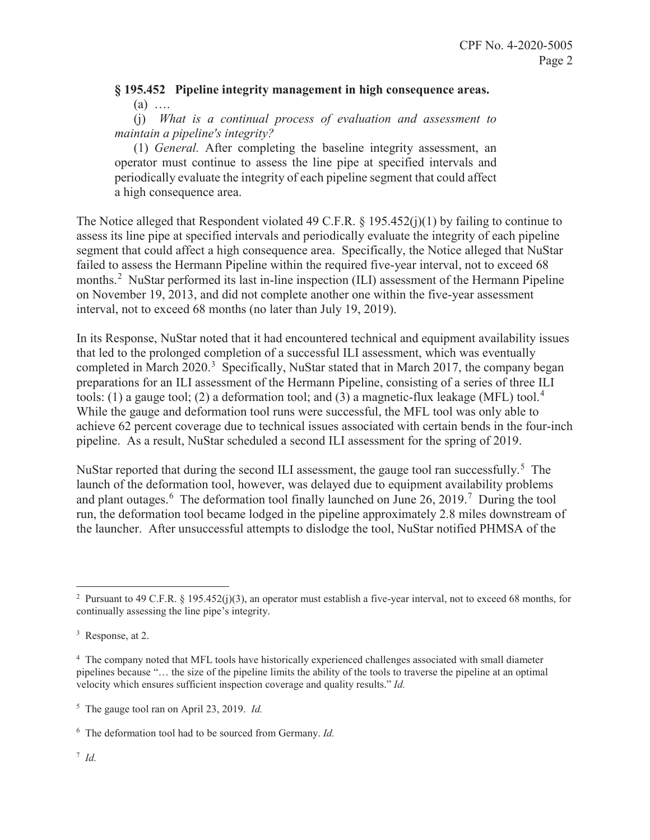## **§ 195.452 Pipeline integrity management in high consequence areas.**   $(a)$  …

(j) *What is a continual process of evaluation and assessment to maintain a pipeline's integrity?* 

(1) *General.* After completing the baseline integrity assessment, an operator must continue to assess the line pipe at specified intervals and periodically evaluate the integrity of each pipeline segment that could affect a high consequence area.

The Notice alleged that Respondent violated 49 C.F.R. § 195.452(j)(1) by failing to continue to assess its line pipe at specified intervals and periodically evaluate the integrity of each pipeline segment that could affect a high consequence area. Specifically, the Notice alleged that NuStar failed to assess the Hermann Pipeline within the required five-year interval, not to exceed 68 months.<sup>2</sup> NuStar performed its last in-line inspection (ILI) assessment of the Hermann Pipeline on November 19, 2013, and did not complete another one within the five-year assessment interval, not to exceed 68 months (no later than July 19, 2019).

In its Response, NuStar noted that it had encountered technical and equipment availability issues that led to the prolonged completion of a successful ILI assessment, which was eventually completed in March 2020.<sup>3</sup> Specifically, NuStar stated that in March 2017, the company began preparations for an ILI assessment of the Hermann Pipeline, consisting of a series of three ILI tools: (1) a gauge tool; (2) a deformation tool; and (3) a magnetic-flux leakage (MFL) tool.<sup>4</sup> While the gauge and deformation tool runs were successful, the MFL tool was only able to achieve 62 percent coverage due to technical issues associated with certain bends in the four-inch pipeline. As a result, NuStar scheduled a second ILI assessment for the spring of 2019.

NuStar reported that during the second ILI assessment, the gauge tool ran successfully.<sup>5</sup> The launch of the deformation tool, however, was delayed due to equipment availability problems and plant outages.  $6$  The deformation tool finally launched on June 26, 2019.<sup>7</sup> During the tool run, the deformation tool became lodged in the pipeline approximately 2.8 miles downstream of the launcher. After unsuccessful attempts to dislodge the tool, NuStar notified PHMSA of the

 $\overline{a}$ <sup>2</sup> Pursuant to 49 C.F.R. § 195.452(j)(3), an operator must establish a five-year interval, not to exceed 68 months, for continually assessing the line pipe's integrity.

<sup>&</sup>lt;sup>3</sup> Response, at 2.

<sup>&</sup>lt;sup>4</sup> The company noted that MFL tools have historically experienced challenges associated with small diameter pipelines because "… the size of the pipeline limits the ability of the tools to traverse the pipeline at an optimal velocity which ensures sufficient inspection coverage and quality results." *Id.*

<sup>5</sup> The gauge tool ran on April 23, 2019. *Id.* 

<sup>6</sup> The deformation tool had to be sourced from Germany. *Id.*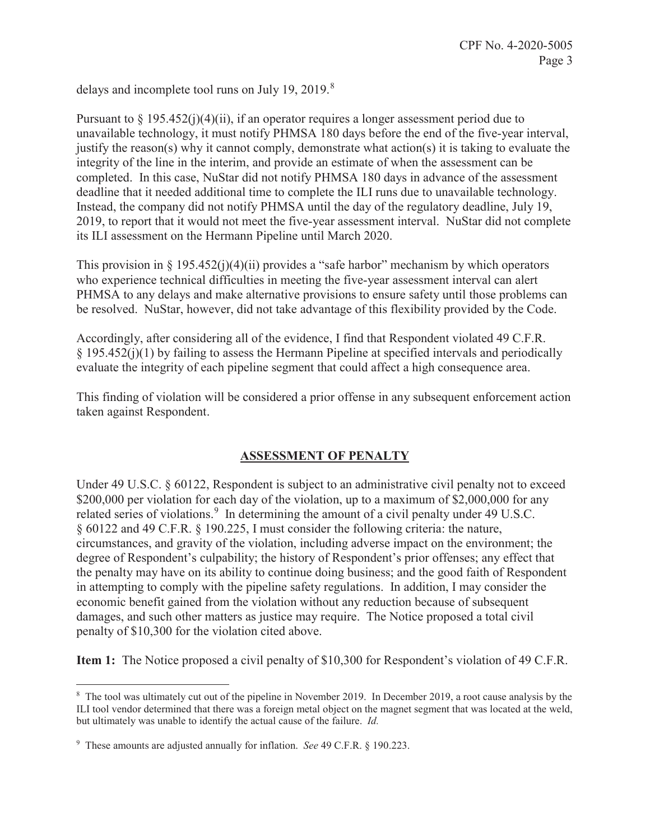delays and incomplete tool runs on July 19, 2019.<sup>8</sup>

Pursuant to  $\S 195.452(i)(4)(ii)$ , if an operator requires a longer assessment period due to unavailable technology, it must notify PHMSA 180 days before the end of the five-year interval, justify the reason(s) why it cannot comply, demonstrate what action(s) it is taking to evaluate the integrity of the line in the interim, and provide an estimate of when the assessment can be completed. In this case, NuStar did not notify PHMSA 180 days in advance of the assessment deadline that it needed additional time to complete the ILI runs due to unavailable technology. Instead, the company did not notify PHMSA until the day of the regulatory deadline, July 19, 2019, to report that it would not meet the five-year assessment interval. NuStar did not complete its ILI assessment on the Hermann Pipeline until March 2020.

This provision in § 195.452(j)(4)(ii) provides a "safe harbor" mechanism by which operators who experience technical difficulties in meeting the five-year assessment interval can alert PHMSA to any delays and make alternative provisions to ensure safety until those problems can be resolved. NuStar, however, did not take advantage of this flexibility provided by the Code.

Accordingly, after considering all of the evidence, I find that Respondent violated 49 C.F.R. § 195.452(j)(1) by failing to assess the Hermann Pipeline at specified intervals and periodically evaluate the integrity of each pipeline segment that could affect a high consequence area.

This finding of violation will be considered a prior offense in any subsequent enforcement action taken against Respondent.

## **ASSESSMENT OF PENALTY**

Under 49 U.S.C. § 60122, Respondent is subject to an administrative civil penalty not to exceed \$200,000 per violation for each day of the violation, up to a maximum of \$2,000,000 for any related series of violations.<sup>9</sup> In determining the amount of a civil penalty under 49 U.S.C. § 60122 and 49 C.F.R. § 190.225, I must consider the following criteria: the nature, circumstances, and gravity of the violation, including adverse impact on the environment; the degree of Respondent's culpability; the history of Respondent's prior offenses; any effect that the penalty may have on its ability to continue doing business; and the good faith of Respondent in attempting to comply with the pipeline safety regulations. In addition, I may consider the economic benefit gained from the violation without any reduction because of subsequent damages, and such other matters as justice may require. The Notice proposed a total civil penalty of \$10,300 for the violation cited above.

**Item 1:** The Notice proposed a civil penalty of \$10,300 for Respondent's violation of 49 C.F.R.

<sup>&</sup>lt;sup>8</sup> The tool was ultimately cut out of the pipeline in November 2019. In December 2019, a root cause analysis by the ILI tool vendor determined that there was a foreign metal object on the magnet segment that was located at the weld, but ultimately was unable to identify the actual cause of the failure. *Id.* 

<sup>9</sup> These amounts are adjusted annually for inflation. *See* 49 C.F.R. § 190.223.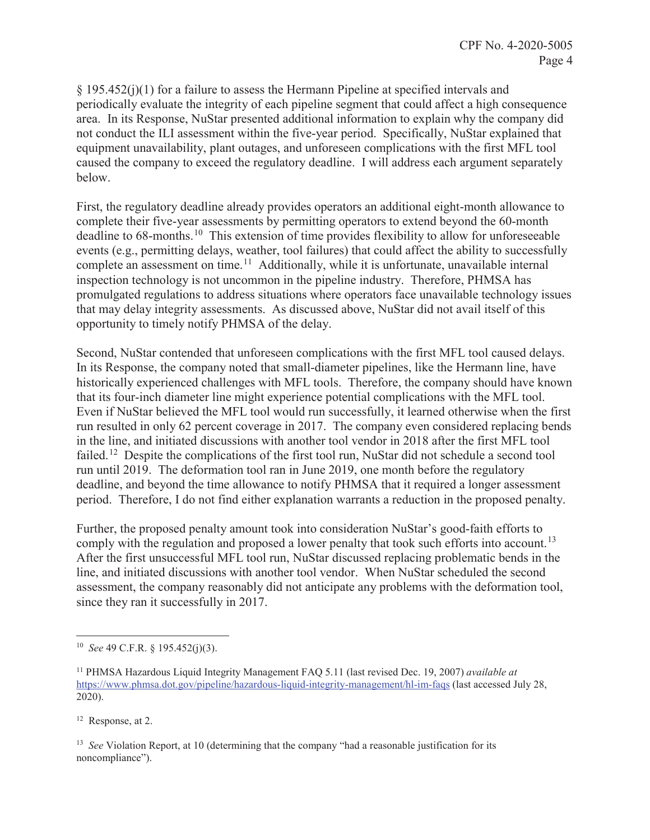§ 195.452(j)(1) for a failure to assess the Hermann Pipeline at specified intervals and periodically evaluate the integrity of each pipeline segment that could affect a high consequence area. In its Response, NuStar presented additional information to explain why the company did not conduct the ILI assessment within the five-year period. Specifically, NuStar explained that equipment unavailability, plant outages, and unforeseen complications with the first MFL tool caused the company to exceed the regulatory deadline. I will address each argument separately below.

First, the regulatory deadline already provides operators an additional eight-month allowance to complete their five-year assessments by permitting operators to extend beyond the 60-month deadline to 68-months.10 This extension of time provides flexibility to allow for unforeseeable events (e.g., permitting delays, weather, tool failures) that could affect the ability to successfully complete an assessment on time.<sup>11</sup> Additionally, while it is unfortunate, unavailable internal inspection technology is not uncommon in the pipeline industry. Therefore, PHMSA has promulgated regulations to address situations where operators face unavailable technology issues that may delay integrity assessments. As discussed above, NuStar did not avail itself of this opportunity to timely notify PHMSA of the delay.

Second, NuStar contended that unforeseen complications with the first MFL tool caused delays. In its Response, the company noted that small-diameter pipelines, like the Hermann line, have historically experienced challenges with MFL tools. Therefore, the company should have known that its four-inch diameter line might experience potential complications with the MFL tool. Even if NuStar believed the MFL tool would run successfully, it learned otherwise when the first run resulted in only 62 percent coverage in 2017. The company even considered replacing bends in the line, and initiated discussions with another tool vendor in 2018 after the first MFL tool failed.<sup>12</sup> Despite the complications of the first tool run, NuStar did not schedule a second tool run until 2019. The deformation tool ran in June 2019, one month before the regulatory deadline, and beyond the time allowance to notify PHMSA that it required a longer assessment period. Therefore, I do not find either explanation warrants a reduction in the proposed penalty.

Further, the proposed penalty amount took into consideration NuStar's good-faith efforts to comply with the regulation and proposed a lower penalty that took such efforts into account.<sup>13</sup> After the first unsuccessful MFL tool run, NuStar discussed replacing problematic bends in the line, and initiated discussions with another tool vendor. When NuStar scheduled the second assessment, the company reasonably did not anticipate any problems with the deformation tool, since they ran it successfully in 2017.

12 Response, at 2.

 $\overline{a}$ 

<sup>13</sup> *See* Violation Report, at 10 (determining that the company "had a reasonable justification for its noncompliance").

<sup>10</sup> *See* 49 C.F.R. § 195.452(j)(3).

<sup>11</sup> PHMSA Hazardous Liquid Integrity Management FAQ 5.11 (last revised Dec. 19, 2007) *available at*  https://www.phmsa.dot.gov/pipeline/hazardous-liquid-integrity-management/hl-im-faqs (last accessed July 28, 2020).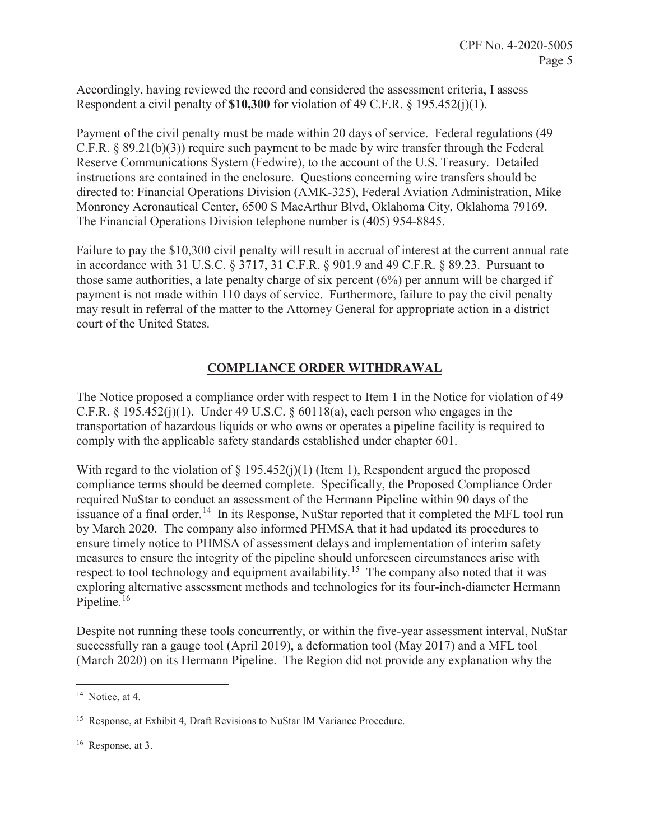Accordingly, having reviewed the record and considered the assessment criteria, I assess Respondent a civil penalty of **\$10,300** for violation of 49 C.F.R. § 195.452(j)(1).

Payment of the civil penalty must be made within 20 days of service. Federal regulations (49 C.F.R. § 89.21(b)(3)) require such payment to be made by wire transfer through the Federal Reserve Communications System (Fedwire), to the account of the U.S. Treasury. Detailed instructions are contained in the enclosure. Questions concerning wire transfers should be directed to: Financial Operations Division (AMK-325), Federal Aviation Administration, Mike Monroney Aeronautical Center, 6500 S MacArthur Blvd, Oklahoma City, Oklahoma 79169. The Financial Operations Division telephone number is (405) 954-8845.

Failure to pay the \$10,300 civil penalty will result in accrual of interest at the current annual rate in accordance with 31 U.S.C. § 3717, 31 C.F.R. § 901.9 and 49 C.F.R. § 89.23. Pursuant to those same authorities, a late penalty charge of six percent (6%) per annum will be charged if payment is not made within 110 days of service. Furthermore, failure to pay the civil penalty may result in referral of the matter to the Attorney General for appropriate action in a district court of the United States.

# **COMPLIANCE ORDER WITHDRAWAL**

The Notice proposed a compliance order with respect to Item 1 in the Notice for violation of 49 C.F.R.  $\S$  195.452(j)(1). Under 49 U.S.C.  $\S$  60118(a), each person who engages in the transportation of hazardous liquids or who owns or operates a pipeline facility is required to comply with the applicable safety standards established under chapter 601.

With regard to the violation of  $\S$  195.452(j)(1) (Item 1), Respondent argued the proposed compliance terms should be deemed complete. Specifically, the Proposed Compliance Order required NuStar to conduct an assessment of the Hermann Pipeline within 90 days of the issuance of a final order.<sup>14</sup> In its Response, NuStar reported that it completed the MFL tool run by March 2020. The company also informed PHMSA that it had updated its procedures to ensure timely notice to PHMSA of assessment delays and implementation of interim safety measures to ensure the integrity of the pipeline should unforeseen circumstances arise with respect to tool technology and equipment availability.<sup>15</sup> The company also noted that it was exploring alternative assessment methods and technologies for its four-inch-diameter Hermann Pipeline.<sup>16</sup>

Despite not running these tools concurrently, or within the five-year assessment interval, NuStar successfully ran a gauge tool (April 2019), a deformation tool (May 2017) and a MFL tool (March 2020) on its Hermann Pipeline. The Region did not provide any explanation why the

<sup>&</sup>lt;sup>14</sup> Notice, at 4.

<sup>&</sup>lt;sup>15</sup> Response, at Exhibit 4, Draft Revisions to NuStar IM Variance Procedure.

<sup>16</sup> Response, at 3.